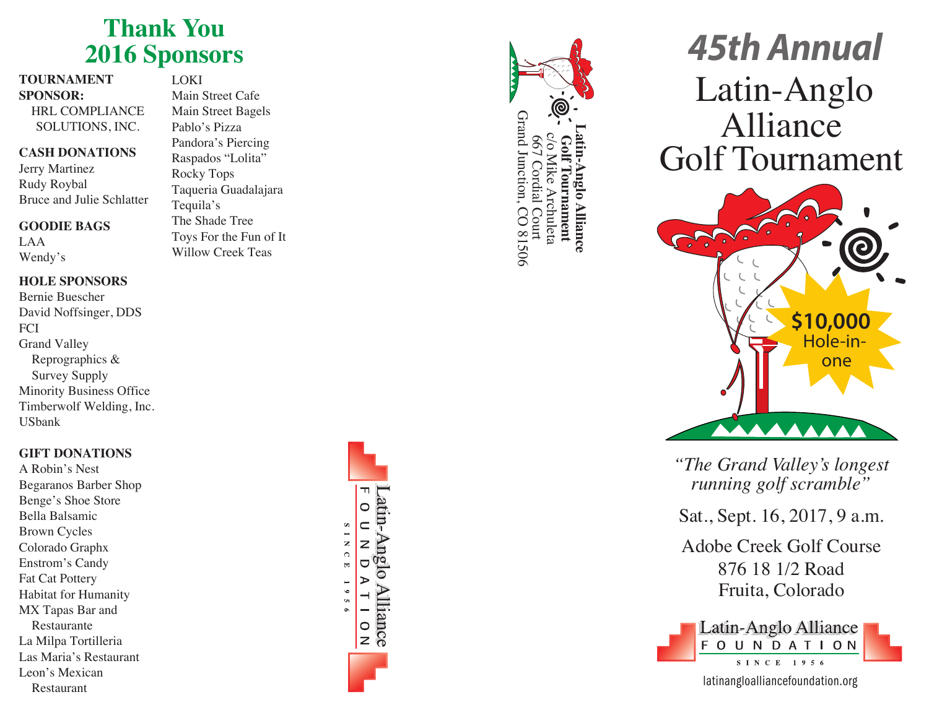## **Thank Yo u 2016 Sponsors**

#### **TOURNAMENT SPONSOR:**

HRL COMPLIANCE SOLUTIONS, INC.

#### **CASH DONATIONS**

Jerry Martinez Rudy Roybal Bruce and Julie Schlatter

#### **GOODIE BAGS**

LAA Wendy's

## **HOLE SPONSORS**

Bernie Buescher David Noffsinger, DDS **FCI** Grand Valley Reprographics & Survey Supply Minority Business Office Timberwolf Welding, Inc. USbank

## **GIFT DONATIONS**

A Robin's Nest Begaranos Barber Shop Benge's Shoe Store Bella Balsamic Brown Cycles Colorado Graphx Enstrom's Candy Fat Cat Pottery Habitat for Humanity MX Tapas Bar and Restaurante La Milpa Tortilleria Las Maria's Restaurant Leon's Mexican Restaurant

LOKI Main Street Cafe Main Street Bagels Pablo's Pizza Pandora's Piercing Raspados "Lolita" Rocky Tops Taqueria Guadalajara Tequila's The Shade Tree Toys For the Fun of It Willow Creek Teas





# *45th Annual* Golf Tournament Latin-Anglo Alliance



*"The Grand Valley's longest running golf scramble"*

Adobe Creek Golf Course 876 18 1/2 Road Fruita, Colorado